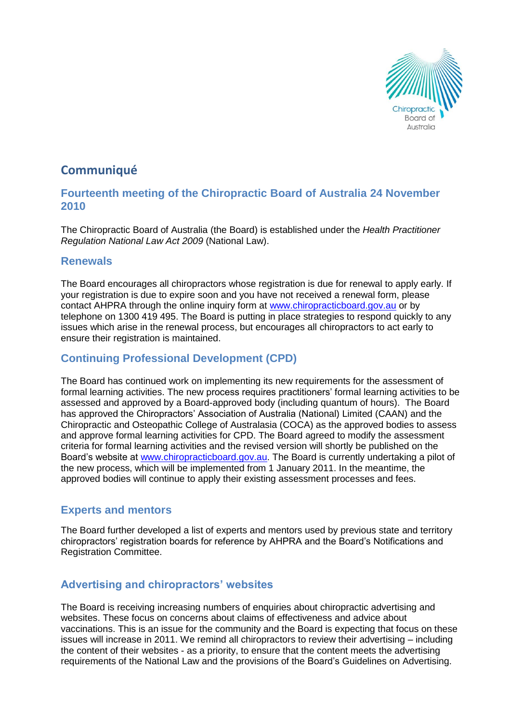

# **Communiqué**

### **Fourteenth meeting of the Chiropractic Board of Australia 24 November 2010**

The Chiropractic Board of Australia (the Board) is established under the *Health Practitioner Regulation National Law Act 2009* (National Law).

#### **Renewals**

The Board encourages all chiropractors whose registration is due for renewal to apply early. If your registration is due to expire soon and you have not received a renewal form, please contact AHPRA through the online inquiry form at [www.chiropracticboard.gov.au](http://www.chiropracticboard.gov.au/) or by telephone on 1300 419 495. The Board is putting in place strategies to respond quickly to any issues which arise in the renewal process, but encourages all chiropractors to act early to ensure their registration is maintained.

#### **Continuing Professional Development (CPD)**

The Board has continued work on implementing its new requirements for the assessment of formal learning activities. The new process requires practitioners' formal learning activities to be assessed and approved by a Board-approved body (including quantum of hours). The Board has approved the Chiropractors' Association of Australia (National) Limited (CAAN) and the Chiropractic and Osteopathic College of Australasia (COCA) as the approved bodies to assess and approve formal learning activities for CPD. The Board agreed to modify the assessment criteria for formal learning activities and the revised version will shortly be published on the Board's website at [www.chiropracticboard.gov.au.](http://www.chiropracticboard.gov.au/) The Board is currently undertaking a pilot of the new process, which will be implemented from 1 January 2011. In the meantime, the approved bodies will continue to apply their existing assessment processes and fees.

#### **Experts and mentors**

The Board further developed a list of experts and mentors used by previous state and territory chiropractors' registration boards for reference by AHPRA and the Board's Notifications and Registration Committee.

## **Advertising and chiropractors' websites**

The Board is receiving increasing numbers of enquiries about chiropractic advertising and websites. These focus on concerns about claims of effectiveness and advice about vaccinations. This is an issue for the community and the Board is expecting that focus on these issues will increase in 2011. We remind all chiropractors to review their advertising – including the content of their websites - as a priority, to ensure that the content meets the advertising requirements of the National Law and the provisions of the Board's Guidelines on Advertising.